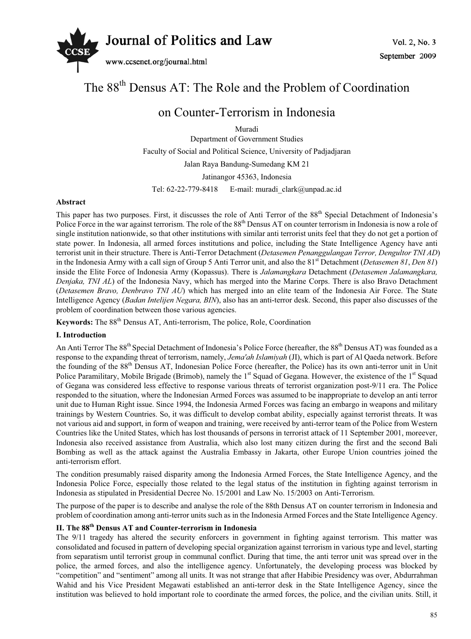

# The 88<sup>th</sup> Densus AT: The Role and the Problem of Coordination

# on Counter-Terrorism in Indonesia

Muradi Department of Government Studies Faculty of Social and Political Science, University of Padjadjaran

Jalan Raya Bandung-Sumedang KM 21

Jatinangor 45363, Indonesia

Tel:  $62-22-779-8418$  E-mail: muradi clark@unpad.ac.id

#### **Abstract**

This paper has two purposes. First, it discusses the role of Anti Terror of the 88<sup>th</sup> Special Detachment of Indonesia's Police Force in the war against terrorism. The role of the 88<sup>th</sup> Densus AT on counter terrorism in Indonesia is now a role of single institution nationwide, so that other institutions with similar anti terrorist units feel that they do not get a portion of state power. In Indonesia, all armed forces institutions and police, including the State Intelligence Agency have anti terrorist unit in their structure. There is Anti-Terror Detachment (*Detasemen Penanggulangan Terror, Dengultor TNI AD*) in the Indonesia Army with a call sign of Group 5 Anti Terror unit, and also the 81<sup>st</sup> Detachment (*Detasemen 81*, *Den 81*) inside the Elite Force of Indonesia Army (Kopassus). There is *Jalamangkara* Detachment (*Detasemen Jalamangkara, Denjaka, TNI AL*) of the Indonesia Navy, which has merged into the Marine Corps. There is also Bravo Detachment (*Detasemen Bravo, Denbravo TNI AU*) which has merged into an elite team of the Indonesia Air Force. The State Intelligence Agency (*Badan Intelijen Negara, BIN*), also has an anti-terror desk. Second, this paper also discusses of the problem of coordination between those various agencies.

**Keywords:** The 88<sup>th</sup> Densus AT, Anti-terrorism, The police, Role, Coordination

## **I. Introduction**

An Anti Terror The 88<sup>th</sup> Special Detachment of Indonesia's Police Force (hereafter, the 88<sup>th</sup> Densus AT) was founded as a response to the expanding threat of terrorism, namely, *Jema'ah Islamiyah* (JI), which is part of Al Qaeda network. Before the founding of the 88<sup>th</sup> Densus AT, Indonesian Police Force (hereafter, the Police) has its own anti-terror unit in Unit Police Paramilitary, Mobile Brigade (Brimob), namely the 1<sup>st</sup> Squad of Gegana. However, the existence of the 1<sup>st</sup> Squad of Gegana was considered less effective to response various threats of terrorist organization post-9/11 era. The Police responded to the situation, where the Indonesian Armed Forces was assumed to be inappropriate to develop an anti terror unit due to Human Right issue. Since 1994, the Indonesia Armed Forces was facing an embargo in weapons and military trainings by Western Countries. So, it was difficult to develop combat ability, especially against terrorist threats. It was not various aid and support, in form of weapon and training, were received by anti-terror team of the Police from Western Countries like the United States, which has lost thousands of persons in terrorist attack of 11 September 2001, moreever, Indonesia also received assistance from Australia, which also lost many citizen during the first and the second Bali Bombing as well as the attack against the Australia Embassy in Jakarta, other Europe Union countries joined the anti-terrorism effort.

The condition presumably raised disparity among the Indonesia Armed Forces, the State Intelligence Agency, and the Indonesia Police Force, especially those related to the legal status of the institution in fighting against terrorism in Indonesia as stipulated in Presidential Decree No. 15/2001 and Law No. 15/2003 on Anti-Terrorism.

The purpose of the paper is to describe and analyse the role of the 88th Densus AT on counter terrorism in Indonesia and problem of coordination among anti-terror units such as in the Indonesia Armed Forces and the State Intelligence Agency.

# **II. The 88th Densus AT and Counter-terrorism in Indonesia**

The 9/11 tragedy has altered the security enforcers in government in fighting against terrorism. This matter was consolidated and focused in pattern of developing special organization against terrorism in various type and level, starting from separatism until terrorist group in communal conflict. During that time, the anti terror unit was spread over in the police, the armed forces, and also the intelligence agency. Unfortunately, the developing process was blocked by "competition" and "sentiment" among all units. It was not strange that after Habibie Presidency was over, Abdurrahman Wahid and his Vice President Megawati established an anti-terror desk in the State Intelligence Agency, since the institution was believed to hold important role to coordinate the armed forces, the police, and the civilian units. Still, it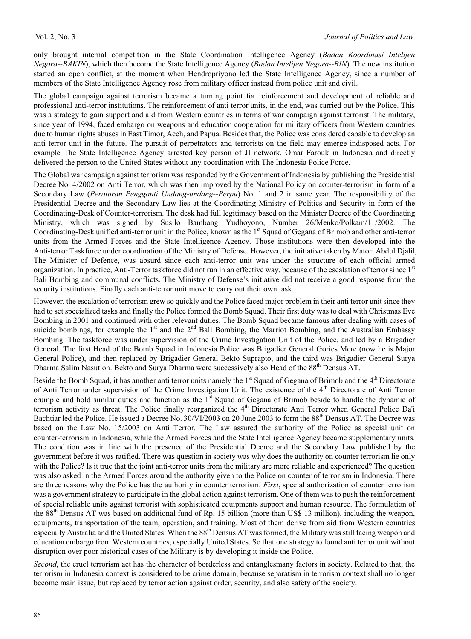only brought internal competition in the State Coordination Intelligence Agency (*Badan Koordinasi Intelijen Negara--BAKIN*), which then become the State Intelligence Agency (*Badan Intelijen Negara--BIN*). The new institution started an open conflict, at the moment when Hendropriyono led the State Intelligence Agency, since a number of members of the State Intelligence Agency rose from military officer instead from police unit and civil.

The global campaign against terrorism became a turning point for reinforcement and development of reliable and professional anti-terror institutions. The reinforcement of anti terror units, in the end, was carried out by the Police. This was a strategy to gain support and aid from Western countries in terms of war campaign against terrorist. The military, since year of 1994, faced embargo on weapons and education cooperation for military officers from Western countries due to human rights abuses in East Timor, Aceh, and Papua. Besides that, the Police was considered capable to develop an anti terror unit in the future. The pursuit of perpetrators and terrorists on the field may emerge indisposed acts. For example The State Intelligence Agency arrested key person of JI network, Omar Farouk in Indonesia and directly delivered the person to the United States without any coordination with The Indonesia Police Force.

The Global war campaign against terrorism was responded by the Government of Indonesia by publishing the Presidential Decree No. 4/2002 on Anti Terror, which was then improved by the National Policy on counter-terrorism in form of a Secondary Law (*Peraturan Pengganti Undang-undang--Perpu*) No. 1 and 2 in same year. The responsibility of the Presidential Decree and the Secondary Law lies at the Coordinating Ministry of Politics and Security in form of the Coordinating-Desk of Counter-terrorism. The desk had full legitimacy based on the Minister Decree of the Coordinating Ministry, which was signed by Susilo Bambang Yudhoyono, Number 26/Menko/Polkam/11/2002. The Coordinating-Desk unified anti-terror unit in the Police, known as the 1<sup>st</sup> Squad of Gegana of Brimob and other anti-terror units from the Armed Forces and the State Intelligence Agency. Those institutions were then developed into the Anti-terror Taskforce under coordination of the Ministry of Defense. However, the initiative taken by Matori Abdul Djalil, The Minister of Defence, was absurd since each anti-terror unit was under the structure of each official armed organization. In practice, Anti-Terror taskforce did not run in an effective way, because of the escalation of terror since 1<sup>st</sup> Bali Bombing and communal conflicts. The Ministry of Defense's initiative did not receive a good response from the security institutions. Finally each anti-terror unit move to carry out their own task.

However, the escalation of terrorism grew so quickly and the Police faced major problem in their anti terror unit since they had to set specialized tasks and finally the Police formed the Bomb Squad. Their first duty was to deal with Christmas Eve Bombing in 2001 and continued with other relevant duties. The Bomb Squad became famous after dealing with cases of suicide bombings, for example the  $1<sup>st</sup>$  and the  $2<sup>nd</sup>$  Bali Bombing, the Marriot Bombing, and the Australian Embassy Bombing. The taskforce was under supervision of the Crime Investigation Unit of the Police, and led by a Brigadier General. The first Head of the Bomb Squad in Indonesia Police was Brigadier General Gories Mere (now he is Major General Police), and then replaced by Brigadier General Bekto Suprapto, and the third was Brigadier General Surya Dharma Salim Nasution. Bekto and Surya Dharma were successively also Head of the 88<sup>th</sup> Densus AT.

Beside the Bomb Squad, it has another anti terror units namely the 1<sup>st</sup> Squad of Gegana of Brimob and the 4<sup>th</sup> Directorate of Anti Terror under supervision of the Crime Investigation Unit. The existence of the  $4<sup>th</sup>$  Directorate of Anti Terror crumple and hold similar duties and function as the  $1<sup>st</sup>$  Squad of Gegana of Brimob beside to handle the dynamic of terrorism activity as threat. The Police finally reorganized the 4<sup>th</sup> Directorate Anti Terror when General Police Da'i Bachtiar led the Police. He issued a Decree No. 30/VI/2003 on 20 June 2003 to form the 88<sup>th</sup> Densus AT. The Decree was based on the Law No. 15/2003 on Anti Terror. The Law assured the authority of the Police as special unit on counter-terrorism in Indonesia, while the Armed Forces and the State Intelligence Agency became supplementary units. The condition was in line with the presence of the Presidential Decree and the Secondary Law published by the government before it was ratified. There was question in society was why does the authority on counter terrorism lie only with the Police? Is it true that the joint anti-terror units from the military are more reliable and experienced? The question was also asked in the Armed Forces around the authority given to the Police on counter of terrorism in Indonesia. There are three reasons why the Police has the authority in counter terrorism. *First*, special authorization of counter terrorism was a government strategy to participate in the global action against terrorism. One of them was to push the reinforcement of special reliable units against terrorist with sophisticated equipments support and human resource. The formulation of the 88<sup>th</sup> Densus AT was based on additional fund of Rp. 15 billion (more than US\$ 13 million), including the weapon, equipments, transportation of the team, operation, and training. Most of them derive from aid from Western countries especially Australia and the United States. When the 88<sup>th</sup> Densus AT was formed, the Military was still facing weapon and education embargo from Western countries, especially United States. So that one strategy to found anti terror unit without disruption over poor historical cases of the Military is by developing it inside the Police.

*Second*, the cruel terrorism act has the character of borderless and entanglesmany factors in society. Related to that, the terrorism in Indonesia context is considered to be crime domain, because separatism in terrorism context shall no longer become main issue, but replaced by terror action against order, security, and also safety of the society.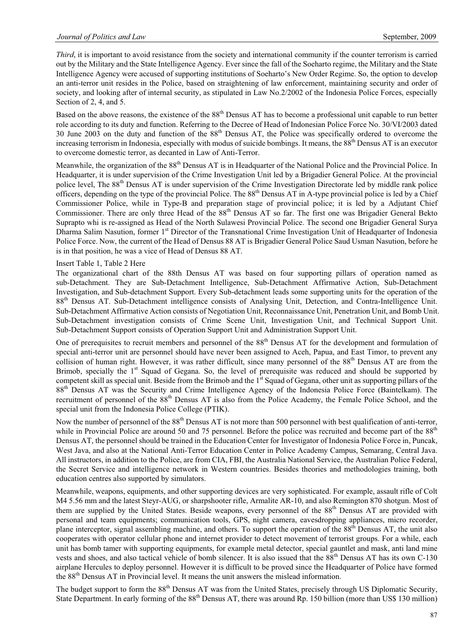*Third*, it is important to avoid resistance from the society and international community if the counter terrorism is carried out by the Military and the State Intelligence Agency. Ever since the fall of the Soeharto regime, the Military and the State Intelligence Agency were accused of supporting institutions of Soeharto's New Order Regime. So, the option to develop an anti-terror unit resides in the Police, based on straightening of law enforcement, maintaining security and order of society, and looking after of internal security, as stipulated in Law No.2/2002 of the Indonesia Police Forces, especially Section of 2, 4, and 5.

Based on the above reasons, the existence of the 88<sup>th</sup> Densus AT has to become a professional unit capable to run better role according to its duty and function. Referring to the Decree of Head of Indonesian Police Force No. 30/VI/2003 dated 30 June 2003 on the duty and function of the 88th Densus AT, the Police was specifically ordered to overcome the increasing terrorism in Indonesia, especially with modus of suicide bombings. It means, the 88<sup>th</sup> Densus AT is an executor to overcome domestic terror, as decanted in Law of Anti-Terror.

Meanwhile, the organization of the 88<sup>th</sup> Densus AT is in Headquarter of the National Police and the Provincial Police. In Headquarter, it is under supervision of the Crime Investigation Unit led by a Brigadier General Police. At the provincial police level, The 88<sup>th</sup> Densus AT is under supervision of the Crime Investigation Directorate led by middle rank police officers, depending on the type of the provincial Police. The  $88<sup>th</sup>$  Densus AT in A-type provincial police is led by a Chief Commissioner Police, while in Type-B and preparation stage of provincial police; it is led by a Adjutant Chief Commissioner. There are only three Head of the 88<sup>th</sup> Densus AT so far. The first one was Brigadier General Bekto Suprapto whi is re-assigned as Head of the North Sulawesi Provincial Police. The second one Brigadier General Surya Dharma Salim Nasution, former 1<sup>st</sup> Director of the Transnational Crime Investigation Unit of Headquarter of Indonesia Police Force. Now, the current of the Head of Densus 88 AT is Brigadier General Police Saud Usman Nasution, before he is in that position, he was a vice of Head of Densus 88 AT.

#### Insert Table 1, Table 2 Here

The organizational chart of the 88th Densus AT was based on four supporting pillars of operation named as sub-Detachment. They are Sub-Detachment Intelligence, Sub-Detachment Affirmative Action, Sub-Detachment Investigation, and Sub-detachment Support. Every Sub-detachment leads some supporting units for the operation of the 88th Densus AT. Sub-Detachment intelligence consists of Analysing Unit, Detection, and Contra-Intelligence Unit. Sub-Detachment Affirmative Action consists of Negotiation Unit, Reconnaissance Unit, Penetration Unit, and Bomb Unit. Sub-Detachment investigation consists of Crime Scene Unit, Investigation Unit, and Technical Support Unit. Sub-Detachment Support consists of Operation Support Unit and Administration Support Unit.

One of prerequisites to recruit members and personnel of the  $88<sup>th</sup>$  Densus AT for the development and formulation of special anti-terror unit are personnel should have never been assigned to Aceh, Papua, and East Timor, to prevent any collision of human right. However, it was rather difficult, since many personnel of the 88<sup>th</sup> Densus AT are from the Brimob, specially the 1<sup>st</sup> Squad of Gegana. So, the level of prerequisite was reduced and should be supported by competent skill as special unit. Beside from the Brimob and the 1<sup>st</sup> Squad of Gegana, other unit as supporting pillars of the 88th Densus AT was the Security and Crime Intelligence Agency of the Indonesia Police Force (Baintelkam). The recruitment of personnel of the 88th Densus AT is also from the Police Academy, the Female Police School, and the special unit from the Indonesia Police College (PTIK).

Now the number of personnel of the 88<sup>th</sup> Densus AT is not more than 500 personnel with best qualification of anti-terror, while in Provincial Police are around 50 and 75 personnel. Before the police was recruited and become part of the 88<sup>th</sup> Densus AT, the personnel should be trained in the Education Center for Investigator of Indonesia Police Force in, Puncak, West Java, and also at the National Anti-Terror Education Center in Police Academy Campus, Semarang, Central Java. All instructors, in addition to the Police, are from CIA, FBI, the Australia National Service, the Australian Police Federal, the Secret Service and intelligence network in Western countries. Besides theories and methodologies training, both education centres also supported by simulators.

Meanwhile, weapons, equipments, and other supporting devices are very sophisticated. For example, assault rifle of Colt M4 5.56 mm and the latest Steyr-AUG, or sharpshooter rifle, Armalite AR-10, and also Remington 870 shotgun. Most of them are supplied by the United States. Beside weapons, every personnel of the 88<sup>th</sup> Densus AT are provided with personal and team equipments; communication tools, GPS, night camera, eavesdropping appliances, micro recorder, plane interceptor, signal assembling machine, and others. To support the operation of the 88<sup>th</sup> Densus AT, the unit also cooperates with operator cellular phone and internet provider to detect movement of terrorist groups. For a while, each unit has bomb tamer with supporting equipments, for example metal detector, special gauntlet and mask, anti land mine vests and shoes, and also tactical vehicle of bomb silencer. It is also issued that the 88<sup>th</sup> Densus AT has its own C-130 airplane Hercules to deploy personnel. However it is difficult to be proved since the Headquarter of Police have formed the 88th Densus AT in Provincial level. It means the unit answers the mislead information.

The budget support to form the 88<sup>th</sup> Densus AT was from the United States, precisely through US Diplomatic Security, State Department. In early forming of the  $88<sup>th</sup>$  Densus AT, there was around Rp. 150 billion (more than US\$ 130 million)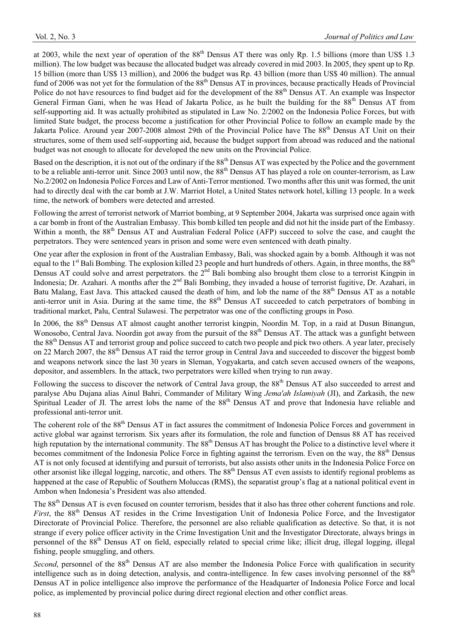at 2003, while the next year of operation of the  $88<sup>th</sup>$  Densus AT there was only Rp. 1.5 billions (more than US\$ 1.3) million). The low budget was because the allocated budget was already covered in mid 2003. In 2005, they spent up to Rp. 15 billion (more than US\$ 13 million), and 2006 the budget was Rp. 43 billion (more than US\$ 40 million). The annual fund of 2006 was not yet for the formulation of the 88<sup>th</sup> Densus AT in provinces, because practically Heads of Provincial Police do not have resources to find budget aid for the development of the 88<sup>th</sup> Densus AT. An example was Inspector General Firman Gani, when he was Head of Jakarta Police, as he built the building for the 88<sup>th</sup> Densus AT from self-supporting aid. It was actually prohibited as stipulated in Law No. 2/2002 on the Indonesia Police Forces, but with limited State budget, the process become a justification for other Provincial Police to follow an example made by the Jakarta Police. Around year 2007-2008 almost 29th of the Provincial Police have The 88<sup>th</sup> Densus AT Unit on their structures, some of them used self-supporting aid, because the budget support from abroad was reduced and the national budget was not enough to allocate for developed the new units on the Provincial Police.

Based on the description, it is not out of the ordinary if the 88<sup>th</sup> Densus AT was expected by the Police and the government to be a reliable anti-terror unit. Since 2003 until now, the 88<sup>th</sup> Densus AT has played a role on counter-terrorism, as Law No.2/2002 on Indonesia Police Forces and Law of Anti-Terror mentioned. Two months after this unit was formed, the unit had to directly deal with the car bomb at J.W. Marriot Hotel, a United States network hotel, killing 13 people. In a week time, the network of bombers were detected and arrested.

Following the arrest of terrorist network of Marriot bombing, at 9 September 2004, Jakarta was surprised once again with a car bomb in front of the Australian Embassy. This bomb killed ten people and did not hit the inside part of the Embassy. Within a month, the 88<sup>th</sup> Densus AT and Australian Federal Police (AFP) succeed to solve the case, and caught the perpetrators. They were sentenced years in prison and some were even sentenced with death pinalty.

One year after the explosion in front of the Australian Embassy, Bali, was shocked again by a bomb. Although it was not equal to the 1<sup>st</sup> Bali Bombing. The explosion killed 23 people and hurt hundreds of others. Again, in three months, the  $88<sup>th</sup>$ Densus AT could solve and arrest perpetrators. the 2nd Bali bombing also brought them close to a terrorist Kingpin in Indonesia; Dr. Azahari. A months after the 2<sup>nd</sup> Bali Bombing, they invaded a house of terrorist fugitive, Dr. Azahari, in Batu Malang, East Java. This attacked caused the death of him, and lob the name of the 88<sup>th</sup> Densus AT as a notable anti-terror unit in Asia. During at the same time, the  $88<sup>th</sup>$  Densus AT succeeded to catch perpetrators of bombing in traditional market, Palu, Central Sulawesi. The perpetrator was one of the conflicting groups in Poso.

In 2006, the 88<sup>th</sup> Densus AT almost caught another terrorist kingpin, Noordin M. Top, in a raid at Dusun Binangun, Wonosobo, Central Java. Noordin got away from the pursuit of the 88<sup>th</sup> Densus AT. The attack was a gunfight between the  $88<sup>th</sup>$  Densus AT and terrorist group and police succeed to catch two people and pick two others. A year later, precisely on 22 March 2007, the 88<sup>th</sup> Densus AT raid the terror group in Central Java and succeeded to discover the biggest bomb and weapons network since the last 30 years in Sleman, Yogyakarta, and catch seven accused owners of the weapons, depositor, and assemblers. In the attack, two perpetrators were killed when trying to run away.

Following the success to discover the network of Central Java group, the 88<sup>th</sup> Densus AT also succeeded to arrest and paralyse Abu Dujana alias Ainul Bahri, Commander of Military Wing *Jema'ah Islamiyah* (JI), and Zarkasih, the new Spiritual Leader of JI. The arrest lobs the name of the  $88<sup>th</sup>$  Densus AT and prove that Indonesia have reliable and professional anti-terror unit.

The coherent role of the 88<sup>th</sup> Densus AT in fact assures the commitment of Indonesia Police Forces and government in active global war against terrorism. Six years after its formulation, the role and function of Densus 88 AT has received high reputation by the international community. The 88<sup>th</sup> Densus AT has brought the Police to a distinctive level where it becomes commitment of the Indonesia Police Force in fighting against the terrorism. Even on the way, the 88<sup>th</sup> Densus AT is not only focused at identifying and pursuit of terrorists, but also assists other units in the Indonesia Police Force on other arsonist like illegal logging, narcotic, and others. The 88<sup>th</sup> Densus AT even assists to identify regional problems as happened at the case of Republic of Southern Moluccas (RMS), the separatist group's flag at a national political event in Ambon when Indonesia's President was also attended.

The 88<sup>th</sup> Densus AT is even focused on counter terrorism, besides that it also has three other coherent functions and role. *First*, the 88<sup>th</sup> Densus AT resides in the Crime Investigation Unit of Indonesia Police Force, and the Investigator Directorate of Provincial Police. Therefore, the personnel are also reliable qualification as detective. So that, it is not strange if every police officer activity in the Crime Investigation Unit and the Investigator Directorate, always brings in personnel of the 88th Densus AT on field, especially related to special crime like; illicit drug, illegal logging, illegal fishing, people smuggling, and others.

*Second*, personnel of the 88<sup>th</sup> Densus AT are also member the Indonesia Police Force with qualification in security intelligence such as in doing detection, analysis, and contra-intelligence. In few cases involving personnel of the  $88<sup>th</sup>$ Densus AT in police intelligence also improve the performance of the Headquarter of Indonesia Police Force and local police, as implemented by provincial police during direct regional election and other conflict areas.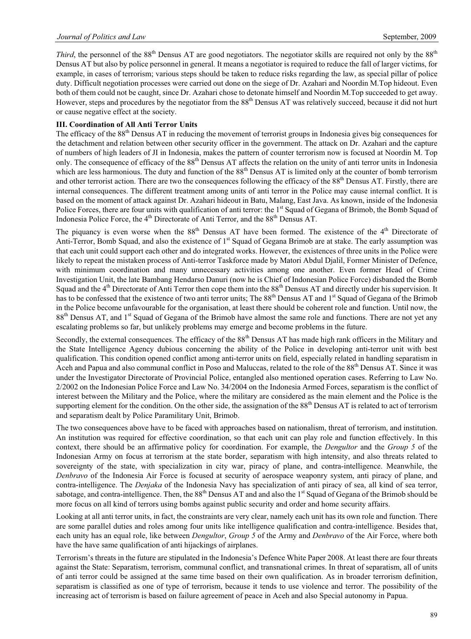*Third*, the personnel of the  $88<sup>th</sup>$  Densus AT are good negotiators. The negotiator skills are required not only by the  $88<sup>th</sup>$ Densus AT but also by police personnel in general. It means a negotiator is required to reduce the fall of larger victims, for example, in cases of terrorism; various steps should be taken to reduce risks regarding the law, as special pillar of police duty. Difficult negotiation processes were carried out done on the siege of Dr. Azahari and Noordin M.Top hideout. Even both of them could not be caught, since Dr. Azahari chose to detonate himself and Noordin M.Top succeeded to get away. However, steps and procedures by the negotiator from the 88<sup>th</sup> Densus AT was relatively succeed, because it did not hurt or cause negative effect at the society.

## **III. Coordination of All Anti Terror Units**

The efficacy of the  $88<sup>th</sup>$  Densus AT in reducing the movement of terrorist groups in Indonesia gives big consequences for the detachment and relation between other security officer in the government. The attack on Dr. Azahari and the capture of numbers of high leaders of JI in Indonesia, makes the pattern of counter terrorism now is focused at Noordin M. Top only. The consequence of efficacy of the 88<sup>th</sup> Densus AT affects the relation on the unity of anti terror units in Indonesia which are less harmonious. The duty and function of the 88<sup>th</sup> Densus AT is limited only at the counter of bomb terrorism and other terrorist action. There are two the consequences following the efficacy of the 88<sup>th</sup> Densus AT. Firstly, there are internal consequences. The different treatment among units of anti terror in the Police may cause internal conflict. It is based on the moment of attack against Dr. Azahari hideout in Batu, Malang, East Java. As known, inside of the Indonesia Police Forces, there are four units with qualification of anti terror: the 1<sup>st</sup> Squad of Gegana of Brimob, the Bomb Squad of Indonesia Police Force, the 4<sup>th</sup> Directorate of Anti Terror, and the 88<sup>th</sup> Densus AT.

The piquancy is even worse when the  $88<sup>th</sup>$  Densus AT have been formed. The existence of the  $4<sup>th</sup>$  Directorate of Anti-Terror, Bomb Squad, and also the existence of 1<sup>st</sup> Squad of Gegana Brimob are at stake. The early assumption was that each unit could support each other and do integrated works. However, the existences of three units in the Police were likely to repeat the mistaken process of Anti-terror Taskforce made by Matori Abdul Djalil, Former Minister of Defence, with minimum coordination and many unnecessary activities among one another. Even former Head of Crime Investigation Unit, the late Bambang Hendarso Danuri (now he is Chief of Indonesian Police Force) disbanded the Bomb Squad and the 4<sup>th</sup> Directorate of Anti Terror then cope them into the 88<sup>th</sup> Densus AT and directly under his supervision. It has to be confessed that the existence of two anti terror units; The 88<sup>th</sup> Densus AT and 1<sup>st</sup> Squad of Gegana of the Brimob in the Police become unfavourable for the organisation, at least there should be coherent role and function. Until now, the 88<sup>th</sup> Densus AT, and 1<sup>st</sup> Squad of Gegana of the Brimob have almost the same role and functions. There are not yet any escalating problems so far, but unlikely problems may emerge and become problems in the future.

Secondly, the external consequences. The efficacy of the 88<sup>th</sup> Densus AT has made high rank officers in the Military and the State Intelligence Agency dubious concerning the ability of the Police in developing anti-terror unit with best qualification. This condition opened conflict among anti-terror units on field, especially related in handling separatism in Aceh and Papua and also communal conflict in Poso and Maluccas, related to the role of the 88<sup>th</sup> Densus AT. Since it was under the Investigator Directorate of Provincial Police, entangled also mentioned operation cases. Referring to Law No. 2/2002 on the Indonesian Police Force and Law No. 34/2004 on the Indonesia Armed Forces, separatism is the conflict of interest between the Military and the Police, where the military are considered as the main element and the Police is the supporting element for the condition. On the other side, the assignation of the 88<sup>th</sup> Densus AT is related to act of terrorism and separatism dealt by Police Paramilitary Unit, Brimob.

The two consequences above have to be faced with approaches based on nationalism, threat of terrorism, and institution. An institution was required for effective coordination, so that each unit can play role and function effectively. In this context, there should be an affirmative policy for coordination. For example, the *Dengultor* and the *Group 5* of the Indonesian Army on focus at terrorism at the state border, separatism with high intensity, and also threats related to sovereignty of the state, with specialization in city war, piracy of plane, and contra-intelligence. Meanwhile, the *Denbravo* of the Indonesia Air Force is focused at security of aerospace weaponry system, anti piracy of plane, and contra-intelligence. The *Denjaka* of the Indonesia Navy has specialization of anti piracy of sea, all kind of sea terror, sabotage, and contra-intelligence. Then, the  $88<sup>th</sup>$  Densus AT and and also the  $1<sup>st</sup>$  Squad of Gegana of the Brimob should be more focus on all kind of terrors using bombs against public security and order and home security affairs.

Looking at all anti terror units, in fact, the constraints are very clear, namely each unit has its own role and function. There are some parallel duties and roles among four units like intelligence qualification and contra-intelligence. Besides that, each unity has an equal role, like between *Dengultor*, *Group 5* of the Army and *Denbravo* of the Air Force, where both have the have same qualification of anti hijackings of airplanes.

Terrorism's threats in the future are stipulated in the Indonesia's Defence White Paper 2008. At least there are four threats against the State: Separatism, terrorism, communal conflict, and transnational crimes. In threat of separatism, all of units of anti terror could be assigned at the same time based on their own qualification. As in broader terrorism definition, separatism is classified as one of type of terrorism, because it tends to use violence and terror. The possibility of the increasing act of terrorism is based on failure agreement of peace in Aceh and also Special autonomy in Papua.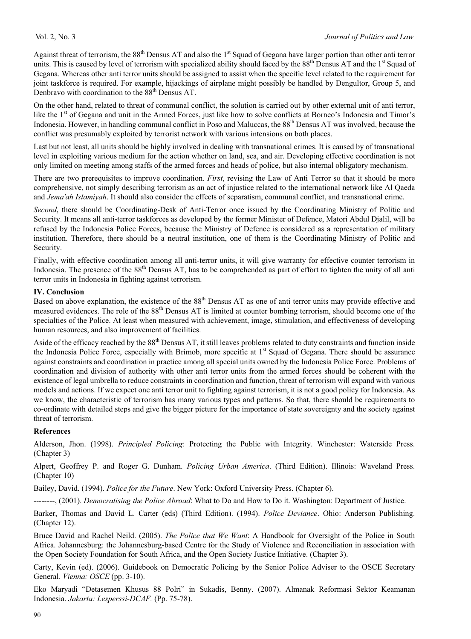Against threat of terrorism, the  $88^{th}$  Densus AT and also the 1<sup>st</sup> Squad of Gegana have larger portion than other anti terror units. This is caused by level of terrorism with specialized ability should faced by the  $88^{th}$  Densus AT and the  $1^{st}$  Squad of Gegana. Whereas other anti terror units should be assigned to assist when the specific level related to the requirement for joint taskforce is required. For example, hijackings of airplane might possibly be handled by Dengultor, Group 5, and Denbravo with coordination to the 88<sup>th</sup> Densus AT.

On the other hand, related to threat of communal conflict, the solution is carried out by other external unit of anti terror, like the 1<sup>st</sup> of Gegana and unit in the Armed Forces, just like how to solve conflicts at Borneo's Indonesia and Timor's Indonesia. However, in handling communal conflict in Poso and Maluccas, the 88th Densus AT was involved, because the conflict was presumably exploited by terrorist network with various intensions on both places.

Last but not least, all units should be highly involved in dealing with transnational crimes. It is caused by of transnational level in exploiting various medium for the action whether on land, sea, and air. Developing effective coordination is not only limited on meeting among staffs of the armed forces and heads of police, but also internal obligatory mechanism.

There are two prerequisites to improve coordination. *First*, revising the Law of Anti Terror so that it should be more comprehensive, not simply describing terrorism as an act of injustice related to the international network like Al Qaeda and *Jema'ah Islamiyah*. It should also consider the effects of separatism, communal conflict, and transnational crime.

*Second*, there should be Coordinating-Desk of Anti-Terror once issued by the Coordinating Ministry of Politic and Security. It means all anti-terror taskforces as developed by the former Minister of Defence, Matori Abdul Djalil, will be refused by the Indonesia Police Forces, because the Ministry of Defence is considered as a representation of military institution. Therefore, there should be a neutral institution, one of them is the Coordinating Ministry of Politic and Security.

Finally, with effective coordination among all anti-terror units, it will give warranty for effective counter terrorism in Indonesia. The presence of the  $88<sup>th</sup>$  Densus AT, has to be comprehended as part of effort to tighten the unity of all anti terror units in Indonesia in fighting against terrorism.

#### **IV. Conclusion**

Based on above explanation, the existence of the 88<sup>th</sup> Densus AT as one of anti terror units may provide effective and measured evidences. The role of the 88<sup>th</sup> Densus AT is limited at counter bombing terrorism, should become one of the specialties of the Police. At least when measured with achievement, image, stimulation, and effectiveness of developing human resources, and also improvement of facilities.

Aside of the efficacy reached by the 88<sup>th</sup> Densus AT, it still leaves problems related to duty constraints and function inside the Indonesia Police Force, especially with Brimob, more specific at 1<sup>st</sup> Squad of Gegana. There should be assurance against constraints and coordination in practice among all special units owned by the Indonesia Police Force. Problems of coordination and division of authority with other anti terror units from the armed forces should be coherent with the existence of legal umbrella to reduce constraints in coordination and function, threat of terrorism will expand with various models and actions. If we expect one anti terror unit to fighting against terrorism, it is not a good policy for Indonesia. As we know, the characteristic of terrorism has many various types and patterns. So that, there should be requirements to co-ordinate with detailed steps and give the bigger picture for the importance of state sovereignty and the society against threat of terrorism.

## **References**

Alderson, Jhon. (1998). *Principled Policing*: Protecting the Public with Integrity. Winchester: Waterside Press. (Chapter 3)

Alpert, Geoffrey P. and Roger G. Dunham. *Policing Urban America*. (Third Edition). Illinois: Waveland Press. (Chapter 10)

Bailey, David. (1994). *Police for the Future*. New York: Oxford University Press. (Chapter 6).

--------, (2001). *Democratising the Police Abroad*: What to Do and How to Do it. Washington: Department of Justice.

Barker, Thomas and David L. Carter (eds) (Third Edition). (1994). *Police Deviance*. Ohio: Anderson Publishing. (Chapter 12).

Bruce David and Rachel Neild. (2005). *The Police that We Want*: A Handbook for Oversight of the Police in South Africa. Johannesburg: the Johannesburg-based Centre for the Study of Violence and Reconciliation in association with the Open Society Foundation for South Africa, and the Open Society Justice Initiative. (Chapter 3).

Carty, Kevin (ed). (2006). Guidebook on Democratic Policing by the Senior Police Adviser to the OSCE Secretary General. *Vienna: OSCE* (pp. 3-10).

Eko Maryadi "Detasemen Khusus 88 Polri" in Sukadis, Benny. (2007). Almanak Reformasi Sektor Keamanan Indonesia. *Jakarta: Lesperssi-DCAF.* (Pp. 75-78).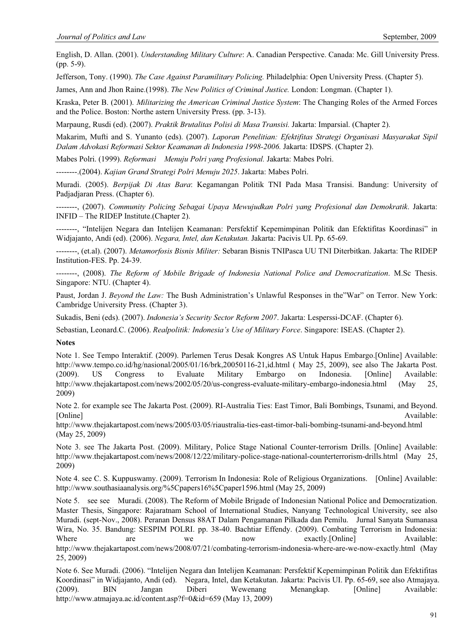English, D. Allan. (2001). *Understanding Military Culture*: A. Canadian Perspective. Canada: Mc. Gill University Press. (pp. 5-9).

Jefferson, Tony. (1990). *The Case Against Paramilitary Policing.* Philadelphia: Open University Press. (Chapter 5).

James, Ann and Jhon Raine.(1998). *The New Politics of Criminal Justice.* London: Longman. (Chapter 1).

Kraska, Peter B. (2001). *Militarizing the American Criminal Justice System*: The Changing Roles of the Armed Forces and the Police. Boston: Northe astern University Press. (pp. 3-13).

Marpaung, Rusdi (ed). (2007). *Praktik Brutalitas Polisi di Masa Transisi.* Jakarta: Imparsial. (Chapter 2).

Makarim, Mufti and S. Yunanto (eds). (2007). *Laporan Penelitian: Efektifitas Strategi Organisasi Masyarakat Sipil Dalam Advokasi Reformasi Sektor Keamanan di Indonesia 1998-2006.* Jakarta: IDSPS. (Chapter 2).

Mabes Polri. (1999). *Reformasi Menuju Polri yang Profesional.* Jakarta: Mabes Polri.

--------.(2004). *Kajian Grand Strategi Polri Menuju 2025*. Jakarta: Mabes Polri.

Muradi. (2005). *Berpijak Di Atas Bara*: Kegamangan Politik TNI Pada Masa Transisi. Bandung: University of Padjadjaran Press. (Chapter 6).

--------, (2007). *Community Policing Sebagai Upaya Mewujudkan Polri yang Profesional dan Demokratik*. Jakarta: INFID – The RIDEP Institute.(Chapter 2).

--------, "Intelijen Negara dan Intelijen Keamanan: Persfektif Kepemimpinan Politik dan Efektifitas Koordinasi" in Widjajanto, Andi (ed). (2006). *Negara, Intel, dan Ketakutan.* Jakarta: Pacivis UI. Pp. 65-69.

--------, (et.al). (2007). *Metamorfosis Bisnis Militer:* Sebaran Bisnis TNIPasca UU TNI Diterbitkan. Jakarta: The RIDEP Institution-FES. Pp. 24-39.

--------, (2008). *The Reform of Mobile Brigade of Indonesia National Police and Democratization*. M.Sc Thesis. Singapore: NTU. (Chapter 4).

Paust, Jordan J. *Beyond the Law:* The Bush Administration's Unlawful Responses in the"War" on Terror. New York: Cambridge University Press. (Chapter 3).

Sukadis, Beni (eds). (2007). *Indonesia's Security Sector Reform 2007*. Jakarta: Lesperssi-DCAF. (Chapter 6).

Sebastian, Leonard.C. (2006). *Realpolitik: Indonesia's Use of Military Force*. Singapore: ISEAS. (Chapter 2).

**Notes** 

Note 1. See Tempo Interaktif. (2009). Parlemen Terus Desak Kongres AS Untuk Hapus Embargo.[Online] Available: http://www.tempo.co.id/hg/nasional/2005/01/16/brk,20050116-21,id.html ( May 25, 2009), see also The Jakarta Post. (2009). US Congress to Evaluate Military Embargo on Indonesia. [Online] Available: http://www.thejakartapost.com/news/2002/05/20/us-congress-evaluate-military-embargo-indonesia.html (May 25, 2009)

Note 2. for example see The Jakarta Post. (2009). RI-Australia Ties: East Timor, Bali Bombings, Tsunami, and Beyond. [Online] Available:

http://www.thejakartapost.com/news/2005/03/05/riaustralia-ties-east-timor-bali-bombing-tsunami-and-beyond.html (May 25, 2009)

Note 3. see The Jakarta Post. (2009). Military, Police Stage National Counter-terrorism Drills. [Online] Available: http://www.thejakartapost.com/news/2008/12/22/military-police-stage-national-counterterrorism-drills.html (May 25, 2009)

Note 4. see C. S. Kuppuswamy. (2009). Terrorism In Indonesia: Role of Religious Organizations. [Online] Available: http://www.southasiaanalysis.org/%5Cpapers16%5Cpaper1596.html (May 25, 2009)

Note 5. see see Muradi. (2008). The Reform of Mobile Brigade of Indonesian National Police and Democratization. Master Thesis, Singapore: Rajaratnam School of International Studies, Nanyang Technological University, see also Muradi. (sept-Nov., 2008). Peranan Densus 88AT Dalam Pengamanan Pilkada dan Pemilu. Jurnal Sanyata Sumanasa Wira, No. 35. Bandung: SESPIM POLRI. pp. 38-40. Bachtiar Effendy. (2009). Combating Terrorism in Indonesia: Where are we now exactly.[Online] Available: http://www.thejakartapost.com/news/2008/07/21/combating-terrorism-indonesia-where-are-we-now-exactly.html (May 25, 2009)

Note 6. See Muradi. (2006). "Intelijen Negara dan Intelijen Keamanan: Persfektif Kepemimpinan Politik dan Efektifitas Koordinasi" in Widjajanto, Andi (ed). Negara, Intel, dan Ketakutan. Jakarta: Pacivis UI. Pp. 65-69, see also Atmajaya. (2009). BIN Jangan Diberi Wewenang Menangkap. [Online] Available: http://www.atmajaya.ac.id/content.asp?f=0&id=659 (May 13, 2009)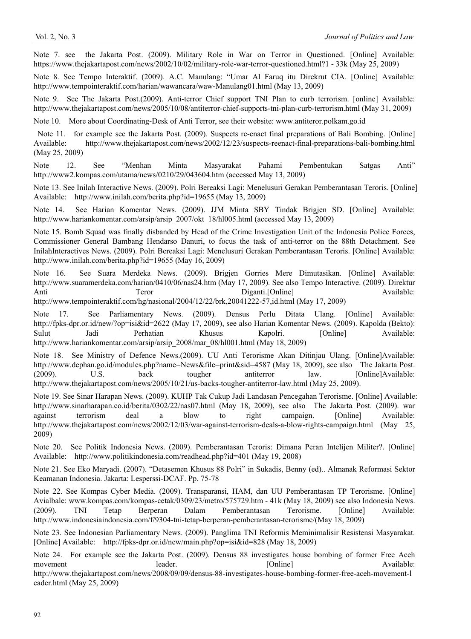Note 7. see the Jakarta Post. (2009). Military Role in War on Terror in Questioned. [Online] Available: https://www.thejakartapost.com/news/2002/10/02/military-role-war-terror-questioned.html?1 - 33k (May 25, 2009)

Note 8. See Tempo Interaktif. (2009). A.C. Manulang: "Umar Al Faruq itu Direkrut CIA. [Online] Available: http://www.tempointeraktif.com/harian/wawancara/waw-Manulang01.html (May 13, 2009)

Note 9. See The Jakarta Post.(2009). Anti-terror Chief support TNI Plan to curb terrorism. [online] Available: http://www.thejakartapost.com/news/2005/10/08/antiterror-chief-supports-tni-plan-curb-terrorism.html (May 31, 2009)

Note 10. More about Coordinating-Desk of Anti Terror, see their website: www.antiteror.polkam.go.id

 Note 11. for example see the Jakarta Post. (2009). Suspects re-enact final preparations of Bali Bombing. [Online] Available: http://www.thejakartapost.com/news/2002/12/23/suspects-reenact-final-preparations-bali-bombing.html (May 25, 2009)

Note 12. See "Menhan Minta Masyarakat Pahami Pembentukan Satgas Anti" http://www2.kompas.com/utama/news/0210/29/043604.htm (accessed May 13, 2009)

Note 13. See Inilah Interactive News. (2009). Polri Bereaksi Lagi: Menelusuri Gerakan Pemberantasan Teroris. [Online] Available: http://www.inilah.com/berita.php?id=19655 (May 13, 2009)

Note 14. See Harian Komentar News. (2009). JJM Minta SBY Tindak Brigjen SD. [Online] Available: http://www.hariankomentar.com/arsip/arsip\_2007/okt\_18/hl005.html (accessed May 13, 2009)

Note 15. Bomb Squad was finally disbanded by Head of the Crime Investigation Unit of the Indonesia Police Forces, Commissioner General Bambang Hendarso Danuri, to focus the task of anti-terror on the 88th Detachment. See InilahInteractives News. (2009). Polri Bereaksi Lagi: Menelusuri Gerakan Pemberantasan Teroris. [Online] Available: http://www.inilah.com/berita.php?id=19655 (May 16, 2009)

Note 16. See Suara Merdeka News. (2009). Brigjen Gorries Mere Dimutasikan. [Online] Available: http://www.suaramerdeka.com/harian/0410/06/nas24.htm (May 17, 2009). See also Tempo Interactive. (2009). Direktur Anti Teror Teror Diganti.[Online] Available:

http://www.tempointeraktif.com/hg/nasional/2004/12/22/brk,20041222-57,id.html (May 17, 2009)

Note 17. See Parliamentary News. (2009). Densus Perlu Ditata Ulang. [Online] Available: http://fpks-dpr.or.id/new/?op=isi&id=2622 (May 17, 2009), see also Harian Komentar News. (2009). Kapolda (Bekto): Sulut Jadi Perhatian Khusus Kapolri. [Online] Available: http://www.hariankomentar.com/arsip/arsip\_2008/mar\_08/hl001.html (May 18, 2009)

Note 18. See Ministry of Defence News.(2009). UU Anti Terorisme Akan Ditinjau Ulang. [Online]Available: http://www.dephan.go.id/modules.php?name=News&file=print&sid=4587 (May 18, 2009), see also The Jakarta Post. (2009). U.S. back tougher antiterror law. [Online]Available: http://www.thejakartapost.com/news/2005/10/21/us-backs-tougher-antiterror-law.html (May 25, 2009).

Note 19. See Sinar Harapan News. (2009). KUHP Tak Cukup Jadi Landasan Pencegahan Terorisme. [Online] Available: http://www.sinarharapan.co.id/berita/0302/22/nas07.html (May 18, 2009), see also The Jakarta Post. (2009). war against terrorism deal a blow to right campaign. [Online] Available: http://www.thejakartapost.com/news/2002/12/03/war-against-terrorism-deals-a-blow-rights-campaign.html (May 25, 2009)

Note 20. See Politik Indonesia News. (2009). Pemberantasan Teroris: Dimana Peran Intelijen Militer?. [Online] Available: http://www.politikindonesia.com/readhead.php?id=401 (May 19, 2008)

Note 21. See Eko Maryadi. (2007). "Detasemen Khusus 88 Polri" in Sukadis, Benny (ed).. Almanak Reformasi Sektor Keamanan Indonesia. Jakarta: Lesperssi-DCAF. Pp. 75-78

Note 22. See Kompas Cyber Media. (2009). Transparansi, HAM, dan UU Pemberantasan TP Terorisme. [Online] Avialbale: www.kompas.com/kompas-cetak/0309/23/metro/575729.htm - 41k (May 18, 2009) see also Indonesia News. (2009). TNI Tetap Berperan Dalam Pemberantasan Terorisme. [Online] Available: http://www.indonesiaindonesia.com/f/9304-tni-tetap-berperan-pemberantasan-terorisme/(May 18, 2009)

Note 23. See Indonesian Parliamentary News. (2009). Panglima TNI Reformis Meminimalisir Resistensi Masyarakat. [Online] Available: http://fpks-dpr.or.id/new/main.php?op=isi&id=828 (May 18, 2009)

Note 24. For example see the Jakarta Post. (2009). Densus 88 investigates house bombing of former Free Aceh movement leader. [Online] Available: http://www.thejakartapost.com/news/2008/09/09/densus-88-investigates-house-bombing-former-free-aceh-movement-l eader.html (May 25, 2009)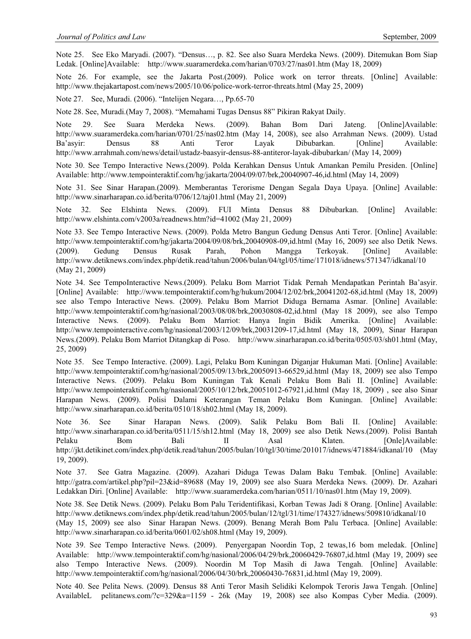Note 25. See Eko Maryadi. (2007). "Densus…, p. 82. See also Suara Merdeka News. (2009). Ditemukan Bom Siap Ledak. [Online]Available: http://www.suaramerdeka.com/harian/0703/27/nas01.htm (May 18, 2009)

Note 26. For example, see the Jakarta Post.(2009). Police work on terror threats. [Online] Available: http://www.thejakartapost.com/news/2005/10/06/police-work-terror-threats.html (May 25, 2009)

Note 27. See, Muradi. (2006). "Intelijen Negara…, Pp.65-70

Note 28. See, Muradi.(May 7, 2008). "Memahami Tugas Densus 88" Pikiran Rakyat Daily.

Note 29. See Suara Merdeka News. (2009). Bahan Bom Dari Jateng. [Online]Available: http://www.suaramerdeka.com/harian/0701/25/nas02.htm (May 14, 2008), see also Arrahman News. (2009). Ustad Ba'asyir: Densus 88 Anti Teror Layak Dibubarkan. [Online] Available: http://www.arrahmah.com/news/detail/ustadz-baasyir-densus-88-antiteror-layak-dibubarkan/ (May 14, 2009)

Note 30. See Tempo Interactive News.(2009). Polda Kerahkan Densus Untuk Amankan Pemilu Presiden. [Online] Available: http://www.tempointeraktif.com/hg/jakarta/2004/09/07/brk,20040907-46,id.html (May 14, 2009)

Note 31. See Sinar Harapan.(2009). Memberantas Terorisme Dengan Segala Daya Upaya. [Online] Available: http://www.sinarharapan.co.id/berita/0706/12/taj01.html (May 21, 2009)

Note 32. See Elshinta News. (2009). FUI Minta Densus 88 Dibubarkan. [Online] Available: http://www.elshinta.com/v2003a/readnews.htm?id=41002 (May 21, 2009)

Note 33. See Tempo Interactive News. (2009). Polda Metro Bangun Gedung Densus Anti Teror. [Online] Available: http://www.tempointeraktif.com/hg/jakarta/2004/09/08/brk,20040908-09,id.html (May 16, 2009) see also Detik News. (2009). Gedung Densus Rusak Parah, Pohon Mangga Terkoyak. [Online] Available: http://www.detiknews.com/index.php/detik.read/tahun/2006/bulan/04/tgl/05/time/171018/idnews/571347/idkanal/10 (May 21, 2009)

Note 34. See TempoInteractive News.(2009). Pelaku Bom Marriot Tidak Pernah Mendapatkan Perintah Ba'asyir. [Online] Available: http://www.tempointeraktif.com/hg/hukum/2004/12/02/brk,20041202-68,id.html (May 18, 2009) see also Tempo Interactive News. (2009). Pelaku Bom Marriot Diduga Bernama Asmar. [Online] Available: http://www.tempointeraktif.com/hg/nasional/2003/08/08/brk,20030808-02,id.html (May 18 2009), see also Tempo Interactive News. (2009). Pelaku Bom Marriot: Hanya Ingin Bidik Amerika. [Online] Available: http://www.tempointeractive.com/hg/nasional/2003/12/09/brk,20031209-17,id.html (May 18, 2009), Sinar Harapan News.(2009). Pelaku Bom Marriot Ditangkap di Poso. http://www.sinarharapan.co.id/berita/0505/03/sh01.html (May, 25, 2009)

Note 35. See Tempo Interactive. (2009). Lagi, Pelaku Bom Kuningan Diganjar Hukuman Mati. [Online] Available: http://www.tempointeraktif.com/hg/nasional/2005/09/13/brk,20050913-66529,id.html (May 18, 2009) see also Tempo Interactive News. (2009). Pelaku Bom Kuningan Tak Kenali Pelaku Bom Bali II. [Online] Available: http://www.tempointeraktif.com/hg/nasional/2005/10/12/brk,20051012-67921,id.html (May 18, 2009) , see also Sinar Harapan News. (2009). Polisi Dalami Keterangan Teman Pelaku Bom Kuningan. [Online] Available: http://www.sinarharapan.co.id/berita/0510/18/sh02.html (May 18, 2009).

Note 36. See Sinar Harapan News. (2009). Salik Pelaku Bom Bali II. [Online] Available: http://www.sinarharapan.co.id/berita/0511/15/sh12.html (May 18, 2009) see also Detik News.(2009). Polisi Bantah Pelaku Bom Bali II Asal Klaten. [Onle]Available: http://jkt.detikinet.com/index.php/detik.read/tahun/2005/bulan/10/tgl/30/time/201017/idnews/471884/idkanal/10 (May 19, 2009).

Note 37. See Gatra Magazine. (2009). Azahari Diduga Tewas Dalam Baku Tembak. [Online] Available: http://gatra.com/artikel.php?pil=23&id=89688 (May 19, 2009) see also Suara Merdeka News. (2009). Dr. Azahari Ledakkan Diri. [Online] Available: http://www.suaramerdeka.com/harian/0511/10/nas01.htm (May 19, 2009).

Note 38. See Detik News. (2009). Pelaku Bom Palu Teridentifikasi, Korban Tewas Jadi 8 Orang. [Online] Available: http://www.detiknews.com/index.php/detik.read/tahun/2005/bulan/12/tgl/31/time/174327/idnews/509810/idkanal/10 (May 15, 2009) see also Sinar Harapan News. (2009). Benang Merah Bom Palu Terbaca. [Online] Available: http://www.sinarharapan.co.id/berita/0601/02/sh08.html (May 19, 2009).

Note 39. See Tempo Interactive News. (2009). Penyergapan Noordin Top, 2 tewas,16 bom meledak. [Online] Available: http://www.tempointeraktif.com/hg/nasional/2006/04/29/brk,20060429-76807,id.html (May 19, 2009) see also Tempo Interactive News. (2009). Noordin M Top Masih di Jawa Tengah. [Online] Available: http://www.tempointeraktif.com/hg/nasional/2006/04/30/brk,20060430-76831,id.html (May 19, 2009).

Note 40. See Pelita News. (2009). Densus 88 Anti Teror Masih Selidiki Kelompok Teroris Jawa Tengah. [Online] AvailableL pelitanews.com/?c=329&a=1159 - 26k (May 19, 2008) see also Kompas Cyber Media. (2009).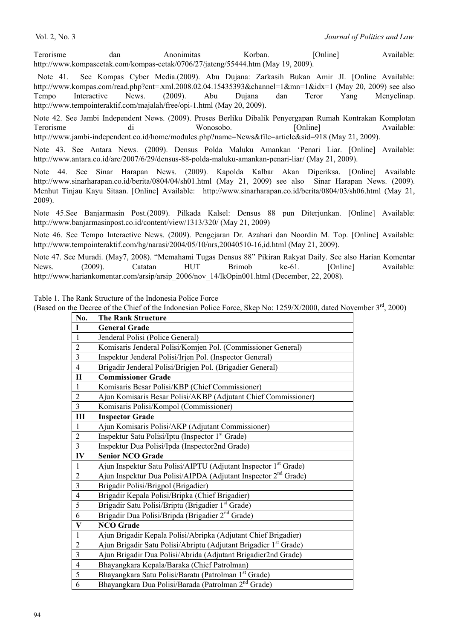Terorisme dan Anonimitas Korban. [Online] Available: http://www.kompascetak.com/kompas-cetak/0706/27/jateng/55444.htm (May 19, 2009).

 Note 41. See Kompas Cyber Media.(2009). Abu Dujana: Zarkasih Bukan Amir JI. [Online Available: http://www.kompas.com/read.php?cnt=.xml.2008.02.04.15435393&channel=1&mn=1&idx=1 (May 20, 2009) see also Tempo Interactive News. (2009). Abu Dujana dan Teror Yang Menyelinap. http://www.tempointeraktif.com/majalah/free/opi-1.html (May 20, 2009).

Note 42. See Jambi Independent News. (2009). Proses Berliku Dibalik Penyergapan Rumah Kontrakan Komplotan Terorisme di Wonosobo. [Online] Available: http://www.jambi-independent.co.id/home/modules.php?name=News&file=article&sid=918 (May 21, 2009).

Note 43. See Antara News. (2009). Densus Polda Maluku Amankan 'Penari Liar. [Online] Available: http://www.antara.co.id/arc/2007/6/29/densus-88-polda-maluku-amankan-penari-liar/ (May 21, 2009).

Note 44. See Sinar Harapan News. (2009). Kapolda Kalbar Akan Diperiksa. [Online] Available http://www.sinarharapan.co.id/berita/0804/04/sh01.html (May 21, 2009) see also Sinar Harapan News. (2009). Menhut Tinjau Kayu Sitaan. [Online] Available: http://www.sinarharapan.co.id/berita/0804/03/sh06.html (May 21, 2009).

Note 45.See Banjarmasin Post.(2009). Pilkada Kalsel: Densus 88 pun Diterjunkan. [Online] Available: http://www.banjarmasinpost.co.id/content/view/1313/320/ (May 21, 2009)

Note 46. See Tempo Interactive News. (2009). Pengejaran Dr. Azahari dan Noordin M. Top. [Online] Available: http://www.tempointeraktif.com/hg/narasi/2004/05/10/nrs,20040510-16,id.html (May 21, 2009).

Note 47. See Muradi. (May7, 2008). "Memahami Tugas Densus 88" Pikiran Rakyat Daily. See also Harian Komentar News. (2009). Catatan HUT Brimob ke-61. [Online] Available: http://www.hariankomentar.com/arsip/arsip\_2006/nov\_14/lkOpin001.html (December, 22, 2008).

Table 1. The Rank Structure of the Indonesia Police Force

(Based on the Decree of the Chief of the Indonesian Police Force, Skep No: 1259/X/2000, dated November  $3<sup>rd</sup>$ , 2000)

| No.                     | <b>The Rank Structure</b>                                                    |  |
|-------------------------|------------------------------------------------------------------------------|--|
| $\mathbf{I}$            | <b>General Grade</b>                                                         |  |
| $\mathbf{1}$            | Jenderal Polisi (Police General)                                             |  |
| $\overline{2}$          | Komisaris Jenderal Polisi/Komjen Pol. (Commissioner General)                 |  |
| 3                       | Inspektur Jenderal Polisi/Irjen Pol. (Inspector General)                     |  |
| $\overline{4}$          | Brigadir Jenderal Polisi/Brigjen Pol. (Brigadier General)                    |  |
| $\mathbf{I}$            | <b>Commissioner Grade</b>                                                    |  |
| $\mathbf{1}$            | Komisaris Besar Polisi/KBP (Chief Commissioner)                              |  |
| $\overline{2}$          | Ajun Komisaris Besar Polisi/AKBP (Adjutant Chief Commissioner)               |  |
| 3                       | Komisaris Polisi/Kompol (Commissioner)                                       |  |
| Ш                       | <b>Inspector Grade</b>                                                       |  |
| $\mathbf{1}$            | Ajun Komisaris Polisi/AKP (Adjutant Commissioner)                            |  |
| $\overline{2}$          | Inspektur Satu Polisi/Iptu (Inspector 1 <sup>st</sup> Grade)                 |  |
| 3                       | Inspektur Dua Polisi/Ipda (Inspector2nd Grade)                               |  |
|                         | <b>Senior NCO Grade</b>                                                      |  |
| IV                      |                                                                              |  |
| $\mathbf{1}$            | Ajun Inspektur Satu Polisi/AIPTU (Adjutant Inspector 1 <sup>st</sup> Grade)  |  |
| $\overline{c}$          | Ajun Inspektur Dua Polisi/AIPDA (Adjutant Inspector 2 <sup>nd</sup> Grade)   |  |
| $\overline{3}$          | Brigadir Polisi/Brigpol (Brigadier)                                          |  |
| $\overline{\mathbf{4}}$ | Brigadir Kepala Polisi/Bripka (Chief Brigadier)                              |  |
| 5                       | Brigadir Satu Polisi/Briptu (Brigadier 1 <sup>st</sup> Grade)                |  |
| 6                       | Brigadir Dua Polisi/Bripda (Brigadier 2 <sup>nd</sup> Grade)                 |  |
| $\mathbf{V}$            | <b>NCO</b> Grade                                                             |  |
| $\mathbf{1}$            | Ajun Brigadir Kepala Polisi/Abripka (Adjutant Chief Brigadier)               |  |
| $\overline{2}$          | Ajun Brigadir Satu Polisi/Abriptu (Adjutant Brigadier 1 <sup>st</sup> Grade) |  |
| 3                       | Ajun Brigadir Dua Polisi/Abrida (Adjutant Brigadier2nd Grade)                |  |
| $\overline{4}$          | Bhayangkara Kepala/Baraka (Chief Patrolman)                                  |  |
| 5                       | Bhayangkara Satu Polisi/Baratu (Patrolman 1 <sup>st</sup> Grade)             |  |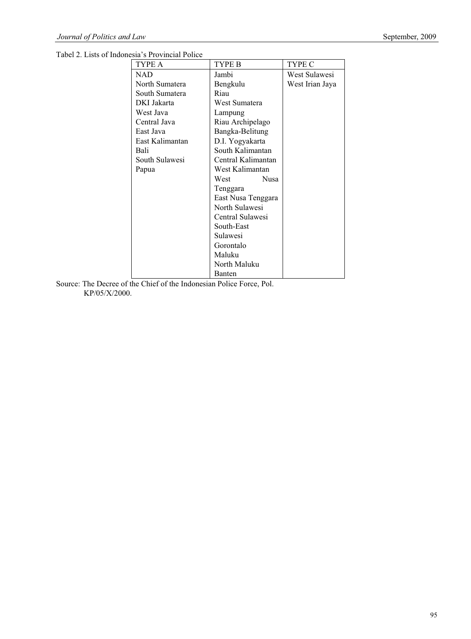Tabel 2. Lists of Indonesia's Provincial Police

| TYPE A             | TYPE B             | TYPE C          |  |  |
|--------------------|--------------------|-----------------|--|--|
| <b>NAD</b>         | Jambi              | West Sulawesi   |  |  |
| North Sumatera     | Bengkulu           | West Irian Jaya |  |  |
| South Sumatera     | Riau               |                 |  |  |
| DKI Jakarta        | West Sumatera      |                 |  |  |
| West Java          | Lampung            |                 |  |  |
| Central Java       | Riau Archipelago   |                 |  |  |
| East Java          | Bangka-Belitung    |                 |  |  |
| East Kalimantan    | D.I. Yogyakarta    |                 |  |  |
| Bali               | South Kalimantan   |                 |  |  |
| South Sulawesi     | Central Kalimantan |                 |  |  |
| Papua              | West Kalimantan    |                 |  |  |
|                    | Nusa<br>West       |                 |  |  |
|                    | Tenggara           |                 |  |  |
| East Nusa Tenggara |                    |                 |  |  |
|                    | North Sulawesi     |                 |  |  |
| Central Sulawesi   |                    |                 |  |  |
|                    | South-East         |                 |  |  |
|                    | Sulawesi           |                 |  |  |
|                    | Gorontalo          |                 |  |  |
|                    | Maluku             |                 |  |  |
|                    | North Maluku       |                 |  |  |
|                    | <b>Banten</b>      |                 |  |  |

Source: The Decree of the Chief of the Indonesian Police Force, Pol. KP/05/X/2000.